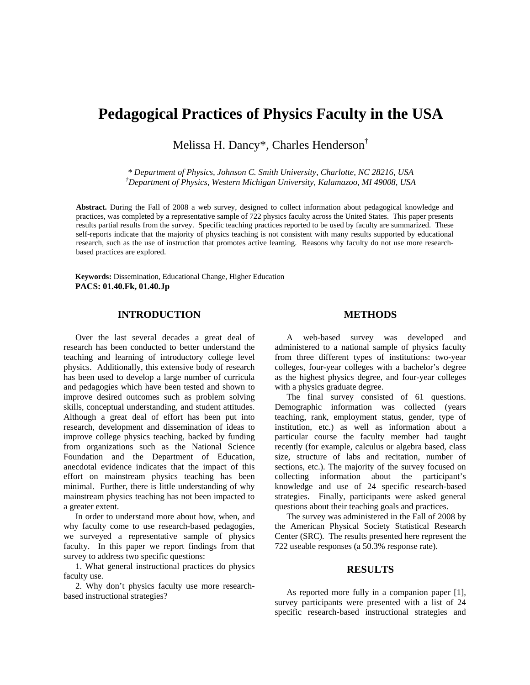# **Pedagogical Practices of Physics Faculty in the USA**

Melissa H. Dancy\*, Charles Henderson†

*\* Department of Physics, Johnson C. Smith University, Charlotte, NC 28216, USA † Department of Physics, Western Michigan University, Kalamazoo, MI 49008, USA* 

**Abstract.** During the Fall of 2008 a web survey, designed to collect information about pedagogical knowledge and practices, was completed by a representative sample of 722 physics faculty across the United States. This paper presents results partial results from the survey. Specific teaching practices reported to be used by faculty are summarized. These self-reports indicate that the majority of physics teaching is not consistent with many results supported by educational research, such as the use of instruction that promotes active learning. Reasons why faculty do not use more researchbased practices are explored.

**Keywords:** Dissemination, Educational Change, Higher Education **PACS: 01.40.Fk, 01.40.Jp** 

# **INTRODUCTION**

Over the last several decades a great deal of research has been conducted to better understand the teaching and learning of introductory college level physics. Additionally, this extensive body of research has been used to develop a large number of curricula and pedagogies which have been tested and shown to improve desired outcomes such as problem solving skills, conceptual understanding, and student attitudes. Although a great deal of effort has been put into research, development and dissemination of ideas to improve college physics teaching, backed by funding from organizations such as the National Science Foundation and the Department of Education, anecdotal evidence indicates that the impact of this effort on mainstream physics teaching has been minimal. Further, there is little understanding of why mainstream physics teaching has not been impacted to a greater extent.

In order to understand more about how, when, and why faculty come to use research-based pedagogies, we surveyed a representative sample of physics faculty. In this paper we report findings from that survey to address two specific questions:

1. What general instructional practices do physics faculty use.

2. Why don't physics faculty use more researchbased instructional strategies?

## **METHODS**

A web-based survey was developed and administered to a national sample of physics faculty from three different types of institutions: two-year colleges, four-year colleges with a bachelor's degree as the highest physics degree, and four-year colleges with a physics graduate degree.

The final survey consisted of 61 questions. Demographic information was collected (years teaching, rank, employment status, gender, type of institution, etc.) as well as information about a particular course the faculty member had taught recently (for example, calculus or algebra based, class size, structure of labs and recitation, number of sections, etc.). The majority of the survey focused on collecting information about the participant's knowledge and use of 24 specific research-based strategies. Finally, participants were asked general questions about their teaching goals and practices.

The survey was administered in the Fall of 2008 by the American Physical Society Statistical Research Center (SRC). The results presented here represent the 722 useable responses (a 50.3% response rate).

#### **RESULTS**

As reported more fully in a companion paper [1], survey participants were presented with a list of 24 specific research-based instructional strategies and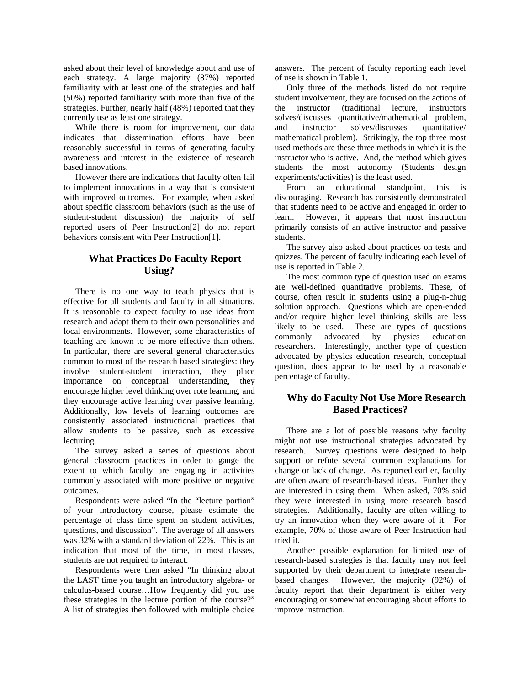asked about their level of knowledge about and use of each strategy. A large majority (87%) reported familiarity with at least one of the strategies and half (50%) reported familiarity with more than five of the strategies. Further, nearly half (48%) reported that they currently use as least one strategy.

While there is room for improvement, our data indicates that dissemination efforts have been reasonably successful in terms of generating faculty awareness and interest in the existence of research based innovations.

However there are indications that faculty often fail to implement innovations in a way that is consistent with improved outcomes. For example, when asked about specific classroom behaviors (such as the use of student-student discussion) the majority of self reported users of Peer Instruction[2] do not report behaviors consistent with Peer Instruction[1].

# **What Practices Do Faculty Report Using?**

There is no one way to teach physics that is effective for all students and faculty in all situations. It is reasonable to expect faculty to use ideas from research and adapt them to their own personalities and local environments. However, some characteristics of teaching are known to be more effective than others. In particular, there are several general characteristics common to most of the research based strategies: they involve student-student interaction, they place importance on conceptual understanding, they encourage higher level thinking over rote learning, and they encourage active learning over passive learning. Additionally, low levels of learning outcomes are consistently associated instructional practices that allow students to be passive, such as excessive lecturing.

The survey asked a series of questions about general classroom practices in order to gauge the extent to which faculty are engaging in activities commonly associated with more positive or negative outcomes.

Respondents were asked "In the "lecture portion" of your introductory course, please estimate the percentage of class time spent on student activities, questions, and discussion". The average of all answers was 32% with a standard deviation of 22%. This is an indication that most of the time, in most classes, students are not required to interact.

Respondents were then asked "In thinking about the LAST time you taught an introductory algebra- or calculus-based course…How frequently did you use these strategies in the lecture portion of the course?" A list of strategies then followed with multiple choice

answers. The percent of faculty reporting each level of use is shown in Table 1.

Only three of the methods listed do not require student involvement, they are focused on the actions of the instructor (traditional lecture, instructors solves/discusses quantitative/mathematical problem, and instructor solves/discusses quantitative/ mathematical problem). Strikingly, the top three most used methods are these three methods in which it is the instructor who is active. And, the method which gives students the most autonomy (Students design experiments/activities) is the least used.

From an educational standpoint, this is discouraging. Research has consistently demonstrated that students need to be active and engaged in order to learn. However, it appears that most instruction primarily consists of an active instructor and passive students.

The survey also asked about practices on tests and quizzes. The percent of faculty indicating each level of use is reported in Table 2.

The most common type of question used on exams are well-defined quantitative problems. These, of course, often result in students using a plug-n-chug solution approach. Questions which are open-ended and/or require higher level thinking skills are less likely to be used. These are types of questions commonly advocated by physics education researchers. Interestingly, another type of question advocated by physics education research, conceptual question, does appear to be used by a reasonable percentage of faculty.

# **Why do Faculty Not Use More Research Based Practices?**

There are a lot of possible reasons why faculty might not use instructional strategies advocated by research. Survey questions were designed to help support or refute several common explanations for change or lack of change. As reported earlier, faculty are often aware of research-based ideas. Further they are interested in using them. When asked, 70% said they were interested in using more research based strategies. Additionally, faculty are often willing to try an innovation when they were aware of it. For example, 70% of those aware of Peer Instruction had tried it.

Another possible explanation for limited use of research-based strategies is that faculty may not feel supported by their department to integrate researchbased changes. However, the majority (92%) of faculty report that their department is either very encouraging or somewhat encouraging about efforts to improve instruction.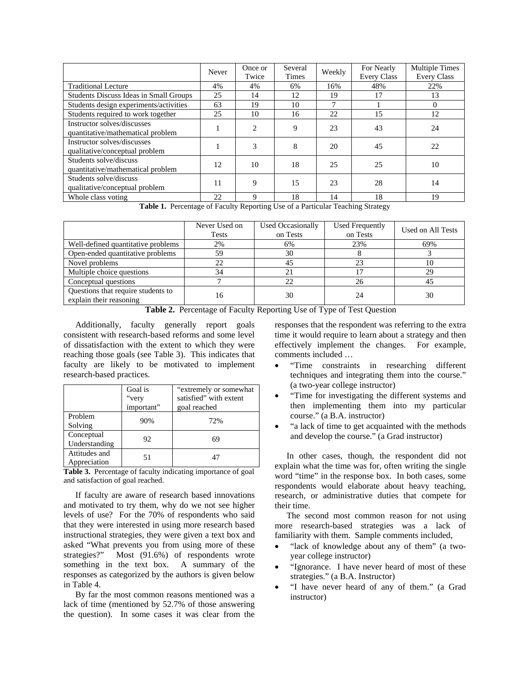|                                                                  | Never | Once or<br>Twice            | Several<br><b>Times</b> | Weekly | For Nearly<br><b>Every Class</b> | <b>Multiple Times</b><br>Every Class |
|------------------------------------------------------------------|-------|-----------------------------|-------------------------|--------|----------------------------------|--------------------------------------|
| <b>Traditional Lecture</b>                                       | 4%    | 4%                          | 6%                      | 16%    | 48%                              | 22%                                  |
| Students Discuss Ideas in Small Groups                           | 25    | 14                          | 12                      | 19     | 17                               | 13                                   |
| Students design experiments/activities                           | 63    | 19                          | 10                      | 7      |                                  | $\Omega$                             |
| Students required to work together                               | 25    | 10                          | 16                      | 22     | 15                               | 12                                   |
| Instructor solves/discusses<br>quantitative/mathematical problem |       | $\mathcal{D}_{\mathcal{L}}$ | 9                       | 23     | 43                               | 24                                   |
| Instructor solves/discusses<br>qualitative/conceptual problem    |       | 3                           | 8                       | 20     | 45                               | 22                                   |
| Students solve/discuss<br>quantitative/mathematical problem      | 12    | 10                          | 18                      | 25     | 25                               | 10                                   |
| Students solve/discuss<br>qualitative/conceptual problem         | 11    | 9                           | 15                      | 23     | 28                               | 14                                   |
| Whole class voting                                               | 22    | $\mathbf Q$                 | 18                      | 14     | 18                               | 19                                   |

Table 1. Percentage of Faculty Reporting Use of a Particular Teaching Strategy

|                                    | Never Used on | Used Occasionally | Used Frequently | Used on All Tests |
|------------------------------------|---------------|-------------------|-----------------|-------------------|
|                                    | <b>Tests</b>  | on Tests          | on Tests        |                   |
| Well-defined quantitative problems | 2%            | 6%                | 23%             | 69%               |
| Open-ended quantitative problems   | 59            | 30                |                 |                   |
| Novel problems                     | 22            | 45                |                 | 10                |
| Multiple choice questions          | 34            | 21                |                 | 29                |
| Conceptual questions               |               | 22                | 26              | 45                |
| Questions that require students to | 16            | 30                | 24              | 30                |
| explain their reasoning            |               |                   |                 |                   |

**Table 2.** Percentage of Faculty Reporting Use of Type of Test Question

Additionally, faculty generally report goals consistent with research-based reforms and some level of dissatisfaction with the extent to which they were reaching those goals (see Table 3). This indicates that faculty are likely to be motivated to implement research-based practices.

|               | Goal is    | "extremely or somewhat" |  |  |
|---------------|------------|-------------------------|--|--|
|               | "very      | satisfied" with extent  |  |  |
|               | important" | goal reached            |  |  |
| Problem       | 90%        | 72%                     |  |  |
| Solving       |            |                         |  |  |
| Conceptual    |            |                         |  |  |
| Understanding | 92         | 69                      |  |  |
| Attitudes and | 51         | 47                      |  |  |
| Appreciation  |            |                         |  |  |

**Table 3.** Percentage of faculty indicating importance of goal and satisfaction of goal reached.

If faculty are aware of research based innovations and motivated to try them, why do we not see higher levels of use? For the 70% of respondents who said that they were interested in using more research based instructional strategies, they were given a text box and asked "What prevents you from using more of these strategies?" Most (91.6%) of respondents wrote something in the text box. A summary of the responses as categorized by the authors is given below in Table 4.

By far the most common reasons mentioned was a lack of time (mentioned by 52.7% of those answering the question). In some cases it was clear from the

responses that the respondent was referring to the extra time it would require to learn about a strategy and then effectively implement the changes. For example, comments included …

- "Time constraints in researching different techniques and integrating them into the course." (a two-year college instructor)
- "Time for investigating the different systems and then implementing them into my particular course." (a B.A. instructor)
- "a lack of time to get acquainted with the methods and develop the course." (a Grad instructor)

In other cases, though, the respondent did not explain what the time was for, often writing the single word "time" in the response box. In both cases, some respondents would elaborate about heavy teaching, research, or administrative duties that compete for their time.

The second most common reason for not using more research-based strategies was a lack of familiarity with them. Sample comments included,

- "lack of knowledge about any of them" (a twoyear college instructor)
- "Ignorance. I have never heard of most of these strategies." (a B.A. Instructor)
- "I have never heard of any of them." (a Grad instructor)